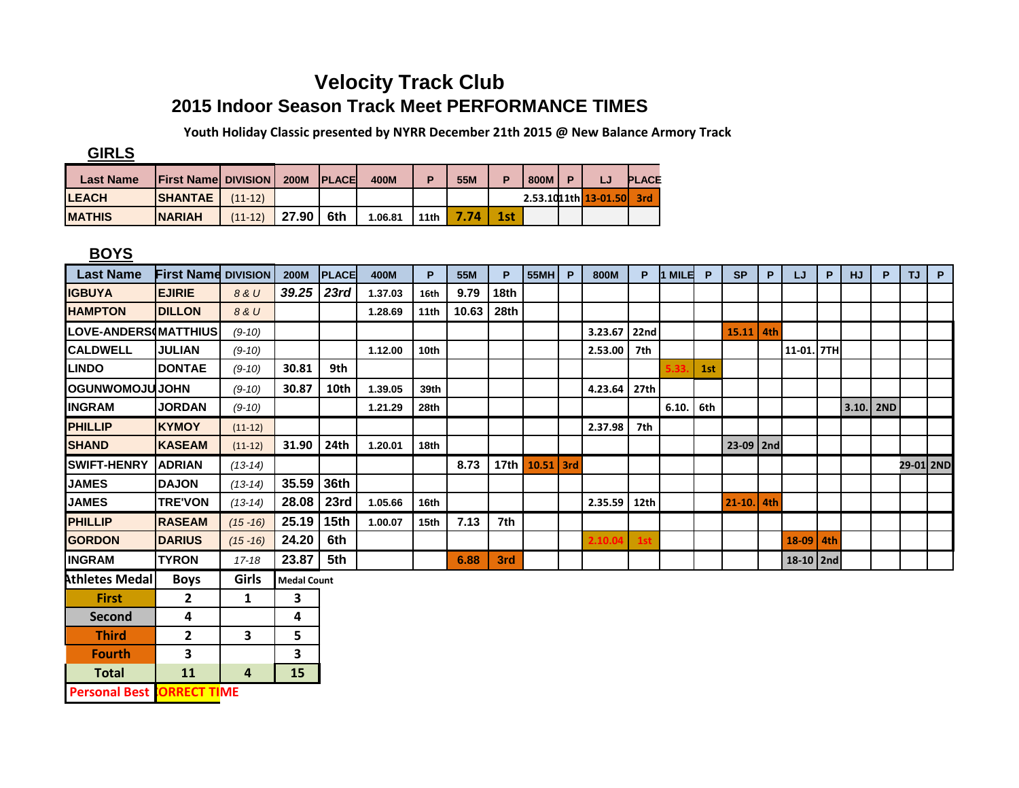## **Velocity Track Club 2015 Indoor Season Track Meet PERFORMANCE TIMES**

 **Youth Holiday Classic presented by NYRR December 21th 2015 @ New Balance Armory Track**

**GIRLS**

| <b>Last Name</b> | <b>IFirst Namel DIVISION I</b> |           | <b>200M</b> | <b>IPLACE</b> | 400M    |      | 55M  |     | 800M |                      | <b>PLACE</b> |
|------------------|--------------------------------|-----------|-------------|---------------|---------|------|------|-----|------|----------------------|--------------|
| <b>LEACH</b>     | <b>SHANTAE</b>                 | $(11-12)$ |             |               |         |      |      |     |      | 2.53.1011th 13-01.50 | 3rd          |
| <b>MATHIS</b>    | <b>NARIAH</b>                  | $(11-12)$ | 27.90       | 6th           | 1.06.81 | 11th | 7.74 | 1st |      |                      |              |

## **BOYS**

| <b>Last Name</b>      | <b>First Name DIVISION</b> |             | <b>200M</b>        | <b>PLACE</b> | 400M    | P                | 55M   | P    | 55MH           | P | 800M    | P    | <b>MILE</b> | P   | <b>SP</b>  | P   | LJ         | P   | <b>HJ</b>   | P | <b>TJ</b> | P. |
|-----------------------|----------------------------|-------------|--------------------|--------------|---------|------------------|-------|------|----------------|---|---------|------|-------------|-----|------------|-----|------------|-----|-------------|---|-----------|----|
| <b>IGBUYA</b>         | <b>EJIRIE</b>              | 8 & U       | 39.25              | 23rd         | 1.37.03 | 16th             | 9.79  | 18th |                |   |         |      |             |     |            |     |            |     |             |   |           |    |
| <b>HAMPTON</b>        | <b>DILLON</b>              | 8 & U       |                    |              | 1.28.69 | 11 <sub>th</sub> | 10.63 | 28th |                |   |         |      |             |     |            |     |            |     |             |   |           |    |
| LOVE-ANDERS(MATTHIUS) |                            | $(9-10)$    |                    |              |         |                  |       |      |                |   | 3.23.67 | 22nd |             |     | 15.11      | 4th |            |     |             |   |           |    |
| <b>CALDWELL</b>       | <b>JULIAN</b>              | $(9-10)$    |                    |              | 1.12.00 | 10 <sub>th</sub> |       |      |                |   | 2.53.00 | 7th  |             |     |            |     | 11-01. 7TH |     |             |   |           |    |
| <b>LINDO</b>          | <b>DONTAE</b>              | $(9-10)$    | 30.81              | 9th          |         |                  |       |      |                |   |         |      |             | 1st |            |     |            |     |             |   |           |    |
| <b>OGUNWOMOJUJOHN</b> |                            | $(9-10)$    | 30.87              | 10th         | 1.39.05 | 39th             |       |      |                |   | 4.23.64 | 27th |             |     |            |     |            |     |             |   |           |    |
| <b>INGRAM</b>         | <b>JORDAN</b>              | $(9-10)$    |                    |              | 1.21.29 | 28th             |       |      |                |   |         |      | 6.10.       | 6th |            |     |            |     | $3.10.$ 2ND |   |           |    |
| <b>PHILLIP</b>        | <b>KYMOY</b>               | $(11-12)$   |                    |              |         |                  |       |      |                |   | 2.37.98 | 7th  |             |     |            |     |            |     |             |   |           |    |
| <b>SHAND</b>          | <b>KASEAM</b>              | $(11-12)$   | 31.90              | 24th         | 1.20.01 | 18th             |       |      |                |   |         |      |             |     | 23-09 2nd  |     |            |     |             |   |           |    |
| <b>SWIFT-HENRY</b>    | <b>ADRIAN</b>              | $(13-14)$   |                    |              |         |                  | 8.73  |      | 17th 10.51 3rd |   |         |      |             |     |            |     |            |     |             |   | 29-01 2ND |    |
| <b>JAMES</b>          | <b>DAJON</b>               | $(13-14)$   | 35.59              | 36th         |         |                  |       |      |                |   |         |      |             |     |            |     |            |     |             |   |           |    |
| <b>JAMES</b>          | <b>TRE'VON</b>             | $(13-14)$   | 28.08 23rd         |              | 1.05.66 | 16th             |       |      |                |   | 2.35.59 | 12th |             |     | $21 - 10.$ | 4th |            |     |             |   |           |    |
| <b>PHILLIP</b>        | <b>RASEAM</b>              | $(15 - 16)$ | 25.19 15th         |              | 1.00.07 | 15 <sub>th</sub> | 7.13  | 7th  |                |   |         |      |             |     |            |     |            |     |             |   |           |    |
| <b>GORDON</b>         | <b>DARIUS</b>              | $(15 - 16)$ | 24.20              | 6th          |         |                  |       |      |                |   | 2.10.04 | 1st  |             |     |            |     | $18-09$    | 4th |             |   |           |    |
| <b>INGRAM</b>         | <b>TYRON</b>               | $17 - 18$   | 23.87              | 5th          |         |                  | 6.88  | 3rd  |                |   |         |      |             |     |            |     | 18-10 2nd  |     |             |   |           |    |
| <b>Athletes Medal</b> | <b>Boys</b>                | Girls       | <b>Medal Count</b> |              |         |                  |       |      |                |   |         |      |             |     |            |     |            |     |             |   |           |    |
| <b>First</b>          | 2                          | 1           | 3                  |              |         |                  |       |      |                |   |         |      |             |     |            |     |            |     |             |   |           |    |
| <b>Second</b>         | 4                          |             | 4                  |              |         |                  |       |      |                |   |         |      |             |     |            |     |            |     |             |   |           |    |
| <b>Third</b>          | $\mathbf{2}$               | 3           | 5                  |              |         |                  |       |      |                |   |         |      |             |     |            |     |            |     |             |   |           |    |

**Total 11 4 15 Personal Best CORRECT TIME** 

**Fourth 3 3**